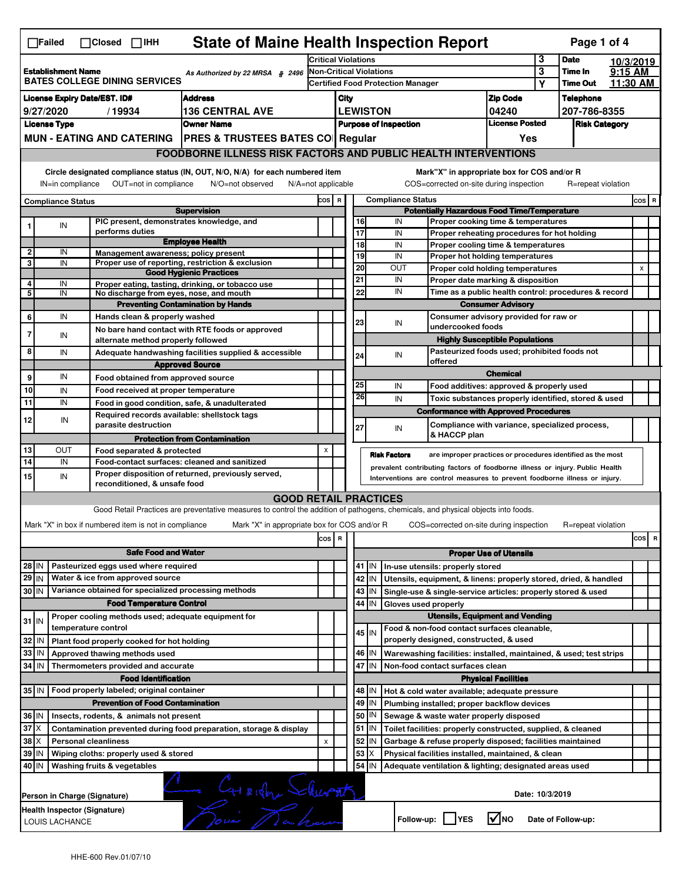| 3<br><b>Date</b><br><b>Critical Violations</b><br>10/3/2019<br>3<br>9:15 AM<br><b>Non-Critical Violations</b><br>Time In<br>As Authorized by 22 MRSA § 2496<br><b>BATES COLLEGE DINING SERVICES</b><br>11:30 AM<br><b>Time Out</b><br><b>Certified Food Protection Manager</b><br>Υ<br><b>Zip Code</b><br><b>Address</b><br>City<br><b>Telephone</b><br><b>136 CENTRAL AVE</b><br><b>LEWISTON</b><br>04240<br>9/27/2020<br>/19934<br>207-786-8355<br><b>License Posted</b><br><b>License Type</b><br><b>Owner Name</b><br><b>Purpose of Inspection</b><br><b>Risk Category</b><br>MUN - EATING AND CATERING   PRES & TRUSTEES BATES CO   Regular<br>Yes<br><b>FOODBORNE ILLNESS RISK FACTORS AND PUBLIC HEALTH INTERVENTIONS</b><br>Circle designated compliance status (IN, OUT, N/O, N/A) for each numbered item<br>Mark"X" in appropriate box for COS and/or R<br>OUT=not in compliance<br>COS=corrected on-site during inspection<br>IN=in compliance<br>N/O=not observed<br>N/A=not applicable<br>R=repeat violation<br><b>Compliance Status</b><br>COS R<br>$cos$ R<br><b>Compliance Status</b><br><b>Potentially Hazardous Food Time/Temperature</b><br><b>Supervision</b><br>PIC present, demonstrates knowledge, and<br>IN<br>16<br>Proper cooking time & temperatures<br>IN<br>1<br>performs duties<br>17<br>IN<br>Proper reheating procedures for hot holding<br><b>Employee Health</b><br>18<br>IN<br>Proper cooling time & temperatures<br>$\overline{2}$<br>IN<br>Management awareness; policy present<br>19<br>IN<br>Proper hot holding temperatures<br>3<br>Proper use of reporting, restriction & exclusion<br>IN<br>20<br><b>OUT</b><br>Proper cold holding temperatures<br>X<br><b>Good Hygienic Practices</b><br>21<br>IN<br>Proper date marking & disposition<br>4<br>IN<br>Proper eating, tasting, drinking, or tobacco use<br>22<br>IN<br>Time as a public health control: procedures & record<br>5<br>IN<br>No discharge from eyes, nose, and mouth<br><b>Preventing Contamination by Hands</b><br><b>Consumer Advisory</b><br>IN<br>Consumer advisory provided for raw or<br>6<br>Hands clean & properly washed<br>23<br>IN<br>undercooked foods<br>No bare hand contact with RTE foods or approved<br>$\overline{7}$<br>IN<br><b>Highly Susceptible Populations</b><br>alternate method properly followed<br>8<br>Pasteurized foods used; prohibited foods not<br>IN<br>Adequate handwashing facilities supplied & accessible<br>IN<br>24<br>offered<br><b>Approved Source</b><br><b>Chemical</b><br>IN<br>9<br>Food obtained from approved source<br>25<br>IN<br>Food additives: approved & properly used<br>IN<br>Food received at proper temperature<br>26<br>IN<br>Toxic substances properly identified, stored & used<br>IN<br>Food in good condition, safe, & unadulterated<br><b>Conformance with Approved Procedures</b><br>Required records available: shellstock tags<br>12<br>IN<br>parasite destruction<br>Compliance with variance, specialized process,<br>27<br>IN<br>& HACCP plan<br><b>Protection from Contamination</b><br>OUT<br>X<br>Food separated & protected<br><b>Risk Factors</b><br>are improper practices or procedures identified as the most<br>IN<br>Food-contact surfaces: cleaned and sanitized<br>prevalent contributing factors of foodborne illness or injury. Public Health<br>Proper disposition of returned, previously served,<br>IN<br>Interventions are control measures to prevent foodborne illness or injury.<br>reconditioned, & unsafe food<br><b>GOOD RETAIL PRACTICES</b><br>Good Retail Practices are preventative measures to control the addition of pathogens, chemicals, and physical objects into foods.<br>Mark "X" in box if numbered item is not in compliance<br>Mark "X" in appropriate box for COS and/or R<br>COS=corrected on-site during inspection<br>R=repeat violation<br>R<br>cos<br>R<br>cos  <br><b>Safe Food and Water</b><br><b>Proper Use of Utensils</b><br>Pasteurized eggs used where required<br>28 IN<br>41 J IN<br>In-use utensils: properly stored<br>Water & ice from approved source<br>$29$ IN<br>42<br>Utensils, equipment, & linens: properly stored, dried, & handled<br>IN<br>Variance obtained for specialized processing methods<br>30 IN<br>43   IN<br>Single-use & single-service articles: properly stored & used<br><b>Food Temperature Control</b><br>44 IN<br>Gloves used properly<br><b>Utensils, Equipment and Vending</b><br>Proper cooling methods used; adequate equipment for<br>$31$ IN<br>temperature control<br>Food & non-food contact surfaces cleanable,<br>$45$ IN<br>properly designed, constructed, & used<br>Plant food properly cooked for hot holding<br>l IN<br>46 IN<br>IN<br>Approved thawing methods used<br>Warewashing facilities: installed, maintained, & used; test strips<br>47<br>IN<br>Thermometers provided and accurate<br>IN<br>Non-food contact surfaces clean<br><b>Food Identification</b><br><b>Physical Facilities</b><br>48   IN<br>Hot & cold water available; adequate pressure<br>49 IN<br><b>Prevention of Food Contamination</b><br>Plumbing installed; proper backflow devices<br>50<br>36   IN<br>IN.<br>Insects, rodents, & animals not present<br>Sewage & waste water properly disposed<br>$37$ $\times$<br>$51$ M<br>Contamination prevented during food preparation, storage & display<br>Toilet facilities: properly constructed, supplied, & cleaned<br>$38$ $\times$<br>52<br><b>Personal cleanliness</b><br>Garbage & refuse properly disposed; facilities maintained<br>x<br>IN<br>53<br>39 IN<br>Wiping cloths: properly used & stored<br>х<br>Physical facilities installed, maintained, & clean<br>54<br>Washing fruits & vegetables<br>IN<br>Adequate ventilation & lighting; designated areas used<br>CHARION Shurath<br>Date: 10/3/2019<br>Person in Charge (Signature)<br>$\sqrt{ }$ NO<br>Follow-up: YES<br>Date of Follow-up: | <b>State of Maine Health Inspection Report</b><br>Page 1 of 4<br>$\Box$ Failed<br>$\Box$ Closed $\Box$ IHH |                                                |  |  |  |  |  |  |  |  |  |  |  |  |  |  |  |
|------------------------------------------------------------------------------------------------------------------------------------------------------------------------------------------------------------------------------------------------------------------------------------------------------------------------------------------------------------------------------------------------------------------------------------------------------------------------------------------------------------------------------------------------------------------------------------------------------------------------------------------------------------------------------------------------------------------------------------------------------------------------------------------------------------------------------------------------------------------------------------------------------------------------------------------------------------------------------------------------------------------------------------------------------------------------------------------------------------------------------------------------------------------------------------------------------------------------------------------------------------------------------------------------------------------------------------------------------------------------------------------------------------------------------------------------------------------------------------------------------------------------------------------------------------------------------------------------------------------------------------------------------------------------------------------------------------------------------------------------------------------------------------------------------------------------------------------------------------------------------------------------------------------------------------------------------------------------------------------------------------------------------------------------------------------------------------------------------------------------------------------------------------------------------------------------------------------------------------------------------------------------------------------------------------------------------------------------------------------------------------------------------------------------------------------------------------------------------------------------------------------------------------------------------------------------------------------------------------------------------------------------------------------------------------------------------------------------------------------------------------------------------------------------------------------------------------------------------------------------------------------------------------------------------------------------------------------------------------------------------------------------------------------------------------------------------------------------------------------------------------------------------------------------------------------------------------------------------------------------------------------------------------------------------------------------------------------------------------------------------------------------------------------------------------------------------------------------------------------------------------------------------------------------------------------------------------------------------------------------------------------------------------------------------------------------------------------------------------------------------------------------------------------------------------------------------------------------------------------------------------------------------------------------------------------------------------------------------------------------------------------------------------------------------------------------------------------------------------------------------------------------------------------------------------------------------------------------------------------------------------------------------------------------------------------------------------------------------------------------------------------------------------------------------------------------------------------------------------------------------------------------------------------------------------------------------------------------------------------------------------------------------------------------------------------------------------------------------------------------------------------------------------------------------------------------------------------------------------------------------------------------------------------------------------------------------------------------------------------------------------------------------------------------------------------------------------------------------------------------------------------------------------------------------------------------------------------------------------------------------------------------------------------------------------------------------------------------------------------------------------------------------------------------------------------------------------------------------------------------------------------------------------------------------------------------------------------------------------------------------------------------------------------------------------------------------------------------------------------------------------------------------------------------------------------------------------------------------------------------------------------------------------------------|------------------------------------------------------------------------------------------------------------|------------------------------------------------|--|--|--|--|--|--|--|--|--|--|--|--|--|--|--|
|                                                                                                                                                                                                                                                                                                                                                                                                                                                                                                                                                                                                                                                                                                                                                                                                                                                                                                                                                                                                                                                                                                                                                                                                                                                                                                                                                                                                                                                                                                                                                                                                                                                                                                                                                                                                                                                                                                                                                                                                                                                                                                                                                                                                                                                                                                                                                                                                                                                                                                                                                                                                                                                                                                                                                                                                                                                                                                                                                                                                                                                                                                                                                                                                                                                                                                                                                                                                                                                                                                                                                                                                                                                                                                                                                                                                                                                                                                                                                                                                                                                                                                                                                                                                                                                                                                                                                                                                                                                                                                                                                                                                                                                                                                                                                                                                                                                                                                                                                                                                                                                                                                                                                                                                                                                                                                                                                                                                                                                                                                                                                                                                                                                                                                                                                                                                                                                                                                                        |                                                                                                            |                                                |  |  |  |  |  |  |  |  |  |  |  |  |  |  |  |
|                                                                                                                                                                                                                                                                                                                                                                                                                                                                                                                                                                                                                                                                                                                                                                                                                                                                                                                                                                                                                                                                                                                                                                                                                                                                                                                                                                                                                                                                                                                                                                                                                                                                                                                                                                                                                                                                                                                                                                                                                                                                                                                                                                                                                                                                                                                                                                                                                                                                                                                                                                                                                                                                                                                                                                                                                                                                                                                                                                                                                                                                                                                                                                                                                                                                                                                                                                                                                                                                                                                                                                                                                                                                                                                                                                                                                                                                                                                                                                                                                                                                                                                                                                                                                                                                                                                                                                                                                                                                                                                                                                                                                                                                                                                                                                                                                                                                                                                                                                                                                                                                                                                                                                                                                                                                                                                                                                                                                                                                                                                                                                                                                                                                                                                                                                                                                                                                                                                        | <b>Establishment Name</b>                                                                                  |                                                |  |  |  |  |  |  |  |  |  |  |  |  |  |  |  |
|                                                                                                                                                                                                                                                                                                                                                                                                                                                                                                                                                                                                                                                                                                                                                                                                                                                                                                                                                                                                                                                                                                                                                                                                                                                                                                                                                                                                                                                                                                                                                                                                                                                                                                                                                                                                                                                                                                                                                                                                                                                                                                                                                                                                                                                                                                                                                                                                                                                                                                                                                                                                                                                                                                                                                                                                                                                                                                                                                                                                                                                                                                                                                                                                                                                                                                                                                                                                                                                                                                                                                                                                                                                                                                                                                                                                                                                                                                                                                                                                                                                                                                                                                                                                                                                                                                                                                                                                                                                                                                                                                                                                                                                                                                                                                                                                                                                                                                                                                                                                                                                                                                                                                                                                                                                                                                                                                                                                                                                                                                                                                                                                                                                                                                                                                                                                                                                                                                                        |                                                                                                            |                                                |  |  |  |  |  |  |  |  |  |  |  |  |  |  |  |
|                                                                                                                                                                                                                                                                                                                                                                                                                                                                                                                                                                                                                                                                                                                                                                                                                                                                                                                                                                                                                                                                                                                                                                                                                                                                                                                                                                                                                                                                                                                                                                                                                                                                                                                                                                                                                                                                                                                                                                                                                                                                                                                                                                                                                                                                                                                                                                                                                                                                                                                                                                                                                                                                                                                                                                                                                                                                                                                                                                                                                                                                                                                                                                                                                                                                                                                                                                                                                                                                                                                                                                                                                                                                                                                                                                                                                                                                                                                                                                                                                                                                                                                                                                                                                                                                                                                                                                                                                                                                                                                                                                                                                                                                                                                                                                                                                                                                                                                                                                                                                                                                                                                                                                                                                                                                                                                                                                                                                                                                                                                                                                                                                                                                                                                                                                                                                                                                                                                        | <b>License Expiry Date/EST. ID#</b>                                                                        |                                                |  |  |  |  |  |  |  |  |  |  |  |  |  |  |  |
|                                                                                                                                                                                                                                                                                                                                                                                                                                                                                                                                                                                                                                                                                                                                                                                                                                                                                                                                                                                                                                                                                                                                                                                                                                                                                                                                                                                                                                                                                                                                                                                                                                                                                                                                                                                                                                                                                                                                                                                                                                                                                                                                                                                                                                                                                                                                                                                                                                                                                                                                                                                                                                                                                                                                                                                                                                                                                                                                                                                                                                                                                                                                                                                                                                                                                                                                                                                                                                                                                                                                                                                                                                                                                                                                                                                                                                                                                                                                                                                                                                                                                                                                                                                                                                                                                                                                                                                                                                                                                                                                                                                                                                                                                                                                                                                                                                                                                                                                                                                                                                                                                                                                                                                                                                                                                                                                                                                                                                                                                                                                                                                                                                                                                                                                                                                                                                                                                                                        |                                                                                                            |                                                |  |  |  |  |  |  |  |  |  |  |  |  |  |  |  |
|                                                                                                                                                                                                                                                                                                                                                                                                                                                                                                                                                                                                                                                                                                                                                                                                                                                                                                                                                                                                                                                                                                                                                                                                                                                                                                                                                                                                                                                                                                                                                                                                                                                                                                                                                                                                                                                                                                                                                                                                                                                                                                                                                                                                                                                                                                                                                                                                                                                                                                                                                                                                                                                                                                                                                                                                                                                                                                                                                                                                                                                                                                                                                                                                                                                                                                                                                                                                                                                                                                                                                                                                                                                                                                                                                                                                                                                                                                                                                                                                                                                                                                                                                                                                                                                                                                                                                                                                                                                                                                                                                                                                                                                                                                                                                                                                                                                                                                                                                                                                                                                                                                                                                                                                                                                                                                                                                                                                                                                                                                                                                                                                                                                                                                                                                                                                                                                                                                                        |                                                                                                            |                                                |  |  |  |  |  |  |  |  |  |  |  |  |  |  |  |
|                                                                                                                                                                                                                                                                                                                                                                                                                                                                                                                                                                                                                                                                                                                                                                                                                                                                                                                                                                                                                                                                                                                                                                                                                                                                                                                                                                                                                                                                                                                                                                                                                                                                                                                                                                                                                                                                                                                                                                                                                                                                                                                                                                                                                                                                                                                                                                                                                                                                                                                                                                                                                                                                                                                                                                                                                                                                                                                                                                                                                                                                                                                                                                                                                                                                                                                                                                                                                                                                                                                                                                                                                                                                                                                                                                                                                                                                                                                                                                                                                                                                                                                                                                                                                                                                                                                                                                                                                                                                                                                                                                                                                                                                                                                                                                                                                                                                                                                                                                                                                                                                                                                                                                                                                                                                                                                                                                                                                                                                                                                                                                                                                                                                                                                                                                                                                                                                                                                        |                                                                                                            |                                                |  |  |  |  |  |  |  |  |  |  |  |  |  |  |  |
|                                                                                                                                                                                                                                                                                                                                                                                                                                                                                                                                                                                                                                                                                                                                                                                                                                                                                                                                                                                                                                                                                                                                                                                                                                                                                                                                                                                                                                                                                                                                                                                                                                                                                                                                                                                                                                                                                                                                                                                                                                                                                                                                                                                                                                                                                                                                                                                                                                                                                                                                                                                                                                                                                                                                                                                                                                                                                                                                                                                                                                                                                                                                                                                                                                                                                                                                                                                                                                                                                                                                                                                                                                                                                                                                                                                                                                                                                                                                                                                                                                                                                                                                                                                                                                                                                                                                                                                                                                                                                                                                                                                                                                                                                                                                                                                                                                                                                                                                                                                                                                                                                                                                                                                                                                                                                                                                                                                                                                                                                                                                                                                                                                                                                                                                                                                                                                                                                                                        |                                                                                                            |                                                |  |  |  |  |  |  |  |  |  |  |  |  |  |  |  |
|                                                                                                                                                                                                                                                                                                                                                                                                                                                                                                                                                                                                                                                                                                                                                                                                                                                                                                                                                                                                                                                                                                                                                                                                                                                                                                                                                                                                                                                                                                                                                                                                                                                                                                                                                                                                                                                                                                                                                                                                                                                                                                                                                                                                                                                                                                                                                                                                                                                                                                                                                                                                                                                                                                                                                                                                                                                                                                                                                                                                                                                                                                                                                                                                                                                                                                                                                                                                                                                                                                                                                                                                                                                                                                                                                                                                                                                                                                                                                                                                                                                                                                                                                                                                                                                                                                                                                                                                                                                                                                                                                                                                                                                                                                                                                                                                                                                                                                                                                                                                                                                                                                                                                                                                                                                                                                                                                                                                                                                                                                                                                                                                                                                                                                                                                                                                                                                                                                                        |                                                                                                            |                                                |  |  |  |  |  |  |  |  |  |  |  |  |  |  |  |
|                                                                                                                                                                                                                                                                                                                                                                                                                                                                                                                                                                                                                                                                                                                                                                                                                                                                                                                                                                                                                                                                                                                                                                                                                                                                                                                                                                                                                                                                                                                                                                                                                                                                                                                                                                                                                                                                                                                                                                                                                                                                                                                                                                                                                                                                                                                                                                                                                                                                                                                                                                                                                                                                                                                                                                                                                                                                                                                                                                                                                                                                                                                                                                                                                                                                                                                                                                                                                                                                                                                                                                                                                                                                                                                                                                                                                                                                                                                                                                                                                                                                                                                                                                                                                                                                                                                                                                                                                                                                                                                                                                                                                                                                                                                                                                                                                                                                                                                                                                                                                                                                                                                                                                                                                                                                                                                                                                                                                                                                                                                                                                                                                                                                                                                                                                                                                                                                                                                        |                                                                                                            |                                                |  |  |  |  |  |  |  |  |  |  |  |  |  |  |  |
|                                                                                                                                                                                                                                                                                                                                                                                                                                                                                                                                                                                                                                                                                                                                                                                                                                                                                                                                                                                                                                                                                                                                                                                                                                                                                                                                                                                                                                                                                                                                                                                                                                                                                                                                                                                                                                                                                                                                                                                                                                                                                                                                                                                                                                                                                                                                                                                                                                                                                                                                                                                                                                                                                                                                                                                                                                                                                                                                                                                                                                                                                                                                                                                                                                                                                                                                                                                                                                                                                                                                                                                                                                                                                                                                                                                                                                                                                                                                                                                                                                                                                                                                                                                                                                                                                                                                                                                                                                                                                                                                                                                                                                                                                                                                                                                                                                                                                                                                                                                                                                                                                                                                                                                                                                                                                                                                                                                                                                                                                                                                                                                                                                                                                                                                                                                                                                                                                                                        |                                                                                                            |                                                |  |  |  |  |  |  |  |  |  |  |  |  |  |  |  |
|                                                                                                                                                                                                                                                                                                                                                                                                                                                                                                                                                                                                                                                                                                                                                                                                                                                                                                                                                                                                                                                                                                                                                                                                                                                                                                                                                                                                                                                                                                                                                                                                                                                                                                                                                                                                                                                                                                                                                                                                                                                                                                                                                                                                                                                                                                                                                                                                                                                                                                                                                                                                                                                                                                                                                                                                                                                                                                                                                                                                                                                                                                                                                                                                                                                                                                                                                                                                                                                                                                                                                                                                                                                                                                                                                                                                                                                                                                                                                                                                                                                                                                                                                                                                                                                                                                                                                                                                                                                                                                                                                                                                                                                                                                                                                                                                                                                                                                                                                                                                                                                                                                                                                                                                                                                                                                                                                                                                                                                                                                                                                                                                                                                                                                                                                                                                                                                                                                                        |                                                                                                            |                                                |  |  |  |  |  |  |  |  |  |  |  |  |  |  |  |
|                                                                                                                                                                                                                                                                                                                                                                                                                                                                                                                                                                                                                                                                                                                                                                                                                                                                                                                                                                                                                                                                                                                                                                                                                                                                                                                                                                                                                                                                                                                                                                                                                                                                                                                                                                                                                                                                                                                                                                                                                                                                                                                                                                                                                                                                                                                                                                                                                                                                                                                                                                                                                                                                                                                                                                                                                                                                                                                                                                                                                                                                                                                                                                                                                                                                                                                                                                                                                                                                                                                                                                                                                                                                                                                                                                                                                                                                                                                                                                                                                                                                                                                                                                                                                                                                                                                                                                                                                                                                                                                                                                                                                                                                                                                                                                                                                                                                                                                                                                                                                                                                                                                                                                                                                                                                                                                                                                                                                                                                                                                                                                                                                                                                                                                                                                                                                                                                                                                        |                                                                                                            |                                                |  |  |  |  |  |  |  |  |  |  |  |  |  |  |  |
|                                                                                                                                                                                                                                                                                                                                                                                                                                                                                                                                                                                                                                                                                                                                                                                                                                                                                                                                                                                                                                                                                                                                                                                                                                                                                                                                                                                                                                                                                                                                                                                                                                                                                                                                                                                                                                                                                                                                                                                                                                                                                                                                                                                                                                                                                                                                                                                                                                                                                                                                                                                                                                                                                                                                                                                                                                                                                                                                                                                                                                                                                                                                                                                                                                                                                                                                                                                                                                                                                                                                                                                                                                                                                                                                                                                                                                                                                                                                                                                                                                                                                                                                                                                                                                                                                                                                                                                                                                                                                                                                                                                                                                                                                                                                                                                                                                                                                                                                                                                                                                                                                                                                                                                                                                                                                                                                                                                                                                                                                                                                                                                                                                                                                                                                                                                                                                                                                                                        |                                                                                                            |                                                |  |  |  |  |  |  |  |  |  |  |  |  |  |  |  |
|                                                                                                                                                                                                                                                                                                                                                                                                                                                                                                                                                                                                                                                                                                                                                                                                                                                                                                                                                                                                                                                                                                                                                                                                                                                                                                                                                                                                                                                                                                                                                                                                                                                                                                                                                                                                                                                                                                                                                                                                                                                                                                                                                                                                                                                                                                                                                                                                                                                                                                                                                                                                                                                                                                                                                                                                                                                                                                                                                                                                                                                                                                                                                                                                                                                                                                                                                                                                                                                                                                                                                                                                                                                                                                                                                                                                                                                                                                                                                                                                                                                                                                                                                                                                                                                                                                                                                                                                                                                                                                                                                                                                                                                                                                                                                                                                                                                                                                                                                                                                                                                                                                                                                                                                                                                                                                                                                                                                                                                                                                                                                                                                                                                                                                                                                                                                                                                                                                                        |                                                                                                            |                                                |  |  |  |  |  |  |  |  |  |  |  |  |  |  |  |
|                                                                                                                                                                                                                                                                                                                                                                                                                                                                                                                                                                                                                                                                                                                                                                                                                                                                                                                                                                                                                                                                                                                                                                                                                                                                                                                                                                                                                                                                                                                                                                                                                                                                                                                                                                                                                                                                                                                                                                                                                                                                                                                                                                                                                                                                                                                                                                                                                                                                                                                                                                                                                                                                                                                                                                                                                                                                                                                                                                                                                                                                                                                                                                                                                                                                                                                                                                                                                                                                                                                                                                                                                                                                                                                                                                                                                                                                                                                                                                                                                                                                                                                                                                                                                                                                                                                                                                                                                                                                                                                                                                                                                                                                                                                                                                                                                                                                                                                                                                                                                                                                                                                                                                                                                                                                                                                                                                                                                                                                                                                                                                                                                                                                                                                                                                                                                                                                                                                        |                                                                                                            |                                                |  |  |  |  |  |  |  |  |  |  |  |  |  |  |  |
|                                                                                                                                                                                                                                                                                                                                                                                                                                                                                                                                                                                                                                                                                                                                                                                                                                                                                                                                                                                                                                                                                                                                                                                                                                                                                                                                                                                                                                                                                                                                                                                                                                                                                                                                                                                                                                                                                                                                                                                                                                                                                                                                                                                                                                                                                                                                                                                                                                                                                                                                                                                                                                                                                                                                                                                                                                                                                                                                                                                                                                                                                                                                                                                                                                                                                                                                                                                                                                                                                                                                                                                                                                                                                                                                                                                                                                                                                                                                                                                                                                                                                                                                                                                                                                                                                                                                                                                                                                                                                                                                                                                                                                                                                                                                                                                                                                                                                                                                                                                                                                                                                                                                                                                                                                                                                                                                                                                                                                                                                                                                                                                                                                                                                                                                                                                                                                                                                                                        |                                                                                                            |                                                |  |  |  |  |  |  |  |  |  |  |  |  |  |  |  |
|                                                                                                                                                                                                                                                                                                                                                                                                                                                                                                                                                                                                                                                                                                                                                                                                                                                                                                                                                                                                                                                                                                                                                                                                                                                                                                                                                                                                                                                                                                                                                                                                                                                                                                                                                                                                                                                                                                                                                                                                                                                                                                                                                                                                                                                                                                                                                                                                                                                                                                                                                                                                                                                                                                                                                                                                                                                                                                                                                                                                                                                                                                                                                                                                                                                                                                                                                                                                                                                                                                                                                                                                                                                                                                                                                                                                                                                                                                                                                                                                                                                                                                                                                                                                                                                                                                                                                                                                                                                                                                                                                                                                                                                                                                                                                                                                                                                                                                                                                                                                                                                                                                                                                                                                                                                                                                                                                                                                                                                                                                                                                                                                                                                                                                                                                                                                                                                                                                                        |                                                                                                            |                                                |  |  |  |  |  |  |  |  |  |  |  |  |  |  |  |
|                                                                                                                                                                                                                                                                                                                                                                                                                                                                                                                                                                                                                                                                                                                                                                                                                                                                                                                                                                                                                                                                                                                                                                                                                                                                                                                                                                                                                                                                                                                                                                                                                                                                                                                                                                                                                                                                                                                                                                                                                                                                                                                                                                                                                                                                                                                                                                                                                                                                                                                                                                                                                                                                                                                                                                                                                                                                                                                                                                                                                                                                                                                                                                                                                                                                                                                                                                                                                                                                                                                                                                                                                                                                                                                                                                                                                                                                                                                                                                                                                                                                                                                                                                                                                                                                                                                                                                                                                                                                                                                                                                                                                                                                                                                                                                                                                                                                                                                                                                                                                                                                                                                                                                                                                                                                                                                                                                                                                                                                                                                                                                                                                                                                                                                                                                                                                                                                                                                        |                                                                                                            |                                                |  |  |  |  |  |  |  |  |  |  |  |  |  |  |  |
|                                                                                                                                                                                                                                                                                                                                                                                                                                                                                                                                                                                                                                                                                                                                                                                                                                                                                                                                                                                                                                                                                                                                                                                                                                                                                                                                                                                                                                                                                                                                                                                                                                                                                                                                                                                                                                                                                                                                                                                                                                                                                                                                                                                                                                                                                                                                                                                                                                                                                                                                                                                                                                                                                                                                                                                                                                                                                                                                                                                                                                                                                                                                                                                                                                                                                                                                                                                                                                                                                                                                                                                                                                                                                                                                                                                                                                                                                                                                                                                                                                                                                                                                                                                                                                                                                                                                                                                                                                                                                                                                                                                                                                                                                                                                                                                                                                                                                                                                                                                                                                                                                                                                                                                                                                                                                                                                                                                                                                                                                                                                                                                                                                                                                                                                                                                                                                                                                                                        |                                                                                                            |                                                |  |  |  |  |  |  |  |  |  |  |  |  |  |  |  |
|                                                                                                                                                                                                                                                                                                                                                                                                                                                                                                                                                                                                                                                                                                                                                                                                                                                                                                                                                                                                                                                                                                                                                                                                                                                                                                                                                                                                                                                                                                                                                                                                                                                                                                                                                                                                                                                                                                                                                                                                                                                                                                                                                                                                                                                                                                                                                                                                                                                                                                                                                                                                                                                                                                                                                                                                                                                                                                                                                                                                                                                                                                                                                                                                                                                                                                                                                                                                                                                                                                                                                                                                                                                                                                                                                                                                                                                                                                                                                                                                                                                                                                                                                                                                                                                                                                                                                                                                                                                                                                                                                                                                                                                                                                                                                                                                                                                                                                                                                                                                                                                                                                                                                                                                                                                                                                                                                                                                                                                                                                                                                                                                                                                                                                                                                                                                                                                                                                                        |                                                                                                            |                                                |  |  |  |  |  |  |  |  |  |  |  |  |  |  |  |
|                                                                                                                                                                                                                                                                                                                                                                                                                                                                                                                                                                                                                                                                                                                                                                                                                                                                                                                                                                                                                                                                                                                                                                                                                                                                                                                                                                                                                                                                                                                                                                                                                                                                                                                                                                                                                                                                                                                                                                                                                                                                                                                                                                                                                                                                                                                                                                                                                                                                                                                                                                                                                                                                                                                                                                                                                                                                                                                                                                                                                                                                                                                                                                                                                                                                                                                                                                                                                                                                                                                                                                                                                                                                                                                                                                                                                                                                                                                                                                                                                                                                                                                                                                                                                                                                                                                                                                                                                                                                                                                                                                                                                                                                                                                                                                                                                                                                                                                                                                                                                                                                                                                                                                                                                                                                                                                                                                                                                                                                                                                                                                                                                                                                                                                                                                                                                                                                                                                        |                                                                                                            |                                                |  |  |  |  |  |  |  |  |  |  |  |  |  |  |  |
|                                                                                                                                                                                                                                                                                                                                                                                                                                                                                                                                                                                                                                                                                                                                                                                                                                                                                                                                                                                                                                                                                                                                                                                                                                                                                                                                                                                                                                                                                                                                                                                                                                                                                                                                                                                                                                                                                                                                                                                                                                                                                                                                                                                                                                                                                                                                                                                                                                                                                                                                                                                                                                                                                                                                                                                                                                                                                                                                                                                                                                                                                                                                                                                                                                                                                                                                                                                                                                                                                                                                                                                                                                                                                                                                                                                                                                                                                                                                                                                                                                                                                                                                                                                                                                                                                                                                                                                                                                                                                                                                                                                                                                                                                                                                                                                                                                                                                                                                                                                                                                                                                                                                                                                                                                                                                                                                                                                                                                                                                                                                                                                                                                                                                                                                                                                                                                                                                                                        |                                                                                                            |                                                |  |  |  |  |  |  |  |  |  |  |  |  |  |  |  |
|                                                                                                                                                                                                                                                                                                                                                                                                                                                                                                                                                                                                                                                                                                                                                                                                                                                                                                                                                                                                                                                                                                                                                                                                                                                                                                                                                                                                                                                                                                                                                                                                                                                                                                                                                                                                                                                                                                                                                                                                                                                                                                                                                                                                                                                                                                                                                                                                                                                                                                                                                                                                                                                                                                                                                                                                                                                                                                                                                                                                                                                                                                                                                                                                                                                                                                                                                                                                                                                                                                                                                                                                                                                                                                                                                                                                                                                                                                                                                                                                                                                                                                                                                                                                                                                                                                                                                                                                                                                                                                                                                                                                                                                                                                                                                                                                                                                                                                                                                                                                                                                                                                                                                                                                                                                                                                                                                                                                                                                                                                                                                                                                                                                                                                                                                                                                                                                                                                                        |                                                                                                            |                                                |  |  |  |  |  |  |  |  |  |  |  |  |  |  |  |
|                                                                                                                                                                                                                                                                                                                                                                                                                                                                                                                                                                                                                                                                                                                                                                                                                                                                                                                                                                                                                                                                                                                                                                                                                                                                                                                                                                                                                                                                                                                                                                                                                                                                                                                                                                                                                                                                                                                                                                                                                                                                                                                                                                                                                                                                                                                                                                                                                                                                                                                                                                                                                                                                                                                                                                                                                                                                                                                                                                                                                                                                                                                                                                                                                                                                                                                                                                                                                                                                                                                                                                                                                                                                                                                                                                                                                                                                                                                                                                                                                                                                                                                                                                                                                                                                                                                                                                                                                                                                                                                                                                                                                                                                                                                                                                                                                                                                                                                                                                                                                                                                                                                                                                                                                                                                                                                                                                                                                                                                                                                                                                                                                                                                                                                                                                                                                                                                                                                        | 10                                                                                                         |                                                |  |  |  |  |  |  |  |  |  |  |  |  |  |  |  |
|                                                                                                                                                                                                                                                                                                                                                                                                                                                                                                                                                                                                                                                                                                                                                                                                                                                                                                                                                                                                                                                                                                                                                                                                                                                                                                                                                                                                                                                                                                                                                                                                                                                                                                                                                                                                                                                                                                                                                                                                                                                                                                                                                                                                                                                                                                                                                                                                                                                                                                                                                                                                                                                                                                                                                                                                                                                                                                                                                                                                                                                                                                                                                                                                                                                                                                                                                                                                                                                                                                                                                                                                                                                                                                                                                                                                                                                                                                                                                                                                                                                                                                                                                                                                                                                                                                                                                                                                                                                                                                                                                                                                                                                                                                                                                                                                                                                                                                                                                                                                                                                                                                                                                                                                                                                                                                                                                                                                                                                                                                                                                                                                                                                                                                                                                                                                                                                                                                                        | 11                                                                                                         |                                                |  |  |  |  |  |  |  |  |  |  |  |  |  |  |  |
|                                                                                                                                                                                                                                                                                                                                                                                                                                                                                                                                                                                                                                                                                                                                                                                                                                                                                                                                                                                                                                                                                                                                                                                                                                                                                                                                                                                                                                                                                                                                                                                                                                                                                                                                                                                                                                                                                                                                                                                                                                                                                                                                                                                                                                                                                                                                                                                                                                                                                                                                                                                                                                                                                                                                                                                                                                                                                                                                                                                                                                                                                                                                                                                                                                                                                                                                                                                                                                                                                                                                                                                                                                                                                                                                                                                                                                                                                                                                                                                                                                                                                                                                                                                                                                                                                                                                                                                                                                                                                                                                                                                                                                                                                                                                                                                                                                                                                                                                                                                                                                                                                                                                                                                                                                                                                                                                                                                                                                                                                                                                                                                                                                                                                                                                                                                                                                                                                                                        |                                                                                                            |                                                |  |  |  |  |  |  |  |  |  |  |  |  |  |  |  |
|                                                                                                                                                                                                                                                                                                                                                                                                                                                                                                                                                                                                                                                                                                                                                                                                                                                                                                                                                                                                                                                                                                                                                                                                                                                                                                                                                                                                                                                                                                                                                                                                                                                                                                                                                                                                                                                                                                                                                                                                                                                                                                                                                                                                                                                                                                                                                                                                                                                                                                                                                                                                                                                                                                                                                                                                                                                                                                                                                                                                                                                                                                                                                                                                                                                                                                                                                                                                                                                                                                                                                                                                                                                                                                                                                                                                                                                                                                                                                                                                                                                                                                                                                                                                                                                                                                                                                                                                                                                                                                                                                                                                                                                                                                                                                                                                                                                                                                                                                                                                                                                                                                                                                                                                                                                                                                                                                                                                                                                                                                                                                                                                                                                                                                                                                                                                                                                                                                                        |                                                                                                            |                                                |  |  |  |  |  |  |  |  |  |  |  |  |  |  |  |
|                                                                                                                                                                                                                                                                                                                                                                                                                                                                                                                                                                                                                                                                                                                                                                                                                                                                                                                                                                                                                                                                                                                                                                                                                                                                                                                                                                                                                                                                                                                                                                                                                                                                                                                                                                                                                                                                                                                                                                                                                                                                                                                                                                                                                                                                                                                                                                                                                                                                                                                                                                                                                                                                                                                                                                                                                                                                                                                                                                                                                                                                                                                                                                                                                                                                                                                                                                                                                                                                                                                                                                                                                                                                                                                                                                                                                                                                                                                                                                                                                                                                                                                                                                                                                                                                                                                                                                                                                                                                                                                                                                                                                                                                                                                                                                                                                                                                                                                                                                                                                                                                                                                                                                                                                                                                                                                                                                                                                                                                                                                                                                                                                                                                                                                                                                                                                                                                                                                        |                                                                                                            |                                                |  |  |  |  |  |  |  |  |  |  |  |  |  |  |  |
|                                                                                                                                                                                                                                                                                                                                                                                                                                                                                                                                                                                                                                                                                                                                                                                                                                                                                                                                                                                                                                                                                                                                                                                                                                                                                                                                                                                                                                                                                                                                                                                                                                                                                                                                                                                                                                                                                                                                                                                                                                                                                                                                                                                                                                                                                                                                                                                                                                                                                                                                                                                                                                                                                                                                                                                                                                                                                                                                                                                                                                                                                                                                                                                                                                                                                                                                                                                                                                                                                                                                                                                                                                                                                                                                                                                                                                                                                                                                                                                                                                                                                                                                                                                                                                                                                                                                                                                                                                                                                                                                                                                                                                                                                                                                                                                                                                                                                                                                                                                                                                                                                                                                                                                                                                                                                                                                                                                                                                                                                                                                                                                                                                                                                                                                                                                                                                                                                                                        | 13                                                                                                         |                                                |  |  |  |  |  |  |  |  |  |  |  |  |  |  |  |
|                                                                                                                                                                                                                                                                                                                                                                                                                                                                                                                                                                                                                                                                                                                                                                                                                                                                                                                                                                                                                                                                                                                                                                                                                                                                                                                                                                                                                                                                                                                                                                                                                                                                                                                                                                                                                                                                                                                                                                                                                                                                                                                                                                                                                                                                                                                                                                                                                                                                                                                                                                                                                                                                                                                                                                                                                                                                                                                                                                                                                                                                                                                                                                                                                                                                                                                                                                                                                                                                                                                                                                                                                                                                                                                                                                                                                                                                                                                                                                                                                                                                                                                                                                                                                                                                                                                                                                                                                                                                                                                                                                                                                                                                                                                                                                                                                                                                                                                                                                                                                                                                                                                                                                                                                                                                                                                                                                                                                                                                                                                                                                                                                                                                                                                                                                                                                                                                                                                        | 14                                                                                                         |                                                |  |  |  |  |  |  |  |  |  |  |  |  |  |  |  |
|                                                                                                                                                                                                                                                                                                                                                                                                                                                                                                                                                                                                                                                                                                                                                                                                                                                                                                                                                                                                                                                                                                                                                                                                                                                                                                                                                                                                                                                                                                                                                                                                                                                                                                                                                                                                                                                                                                                                                                                                                                                                                                                                                                                                                                                                                                                                                                                                                                                                                                                                                                                                                                                                                                                                                                                                                                                                                                                                                                                                                                                                                                                                                                                                                                                                                                                                                                                                                                                                                                                                                                                                                                                                                                                                                                                                                                                                                                                                                                                                                                                                                                                                                                                                                                                                                                                                                                                                                                                                                                                                                                                                                                                                                                                                                                                                                                                                                                                                                                                                                                                                                                                                                                                                                                                                                                                                                                                                                                                                                                                                                                                                                                                                                                                                                                                                                                                                                                                        | 15                                                                                                         |                                                |  |  |  |  |  |  |  |  |  |  |  |  |  |  |  |
|                                                                                                                                                                                                                                                                                                                                                                                                                                                                                                                                                                                                                                                                                                                                                                                                                                                                                                                                                                                                                                                                                                                                                                                                                                                                                                                                                                                                                                                                                                                                                                                                                                                                                                                                                                                                                                                                                                                                                                                                                                                                                                                                                                                                                                                                                                                                                                                                                                                                                                                                                                                                                                                                                                                                                                                                                                                                                                                                                                                                                                                                                                                                                                                                                                                                                                                                                                                                                                                                                                                                                                                                                                                                                                                                                                                                                                                                                                                                                                                                                                                                                                                                                                                                                                                                                                                                                                                                                                                                                                                                                                                                                                                                                                                                                                                                                                                                                                                                                                                                                                                                                                                                                                                                                                                                                                                                                                                                                                                                                                                                                                                                                                                                                                                                                                                                                                                                                                                        |                                                                                                            |                                                |  |  |  |  |  |  |  |  |  |  |  |  |  |  |  |
|                                                                                                                                                                                                                                                                                                                                                                                                                                                                                                                                                                                                                                                                                                                                                                                                                                                                                                                                                                                                                                                                                                                                                                                                                                                                                                                                                                                                                                                                                                                                                                                                                                                                                                                                                                                                                                                                                                                                                                                                                                                                                                                                                                                                                                                                                                                                                                                                                                                                                                                                                                                                                                                                                                                                                                                                                                                                                                                                                                                                                                                                                                                                                                                                                                                                                                                                                                                                                                                                                                                                                                                                                                                                                                                                                                                                                                                                                                                                                                                                                                                                                                                                                                                                                                                                                                                                                                                                                                                                                                                                                                                                                                                                                                                                                                                                                                                                                                                                                                                                                                                                                                                                                                                                                                                                                                                                                                                                                                                                                                                                                                                                                                                                                                                                                                                                                                                                                                                        |                                                                                                            |                                                |  |  |  |  |  |  |  |  |  |  |  |  |  |  |  |
|                                                                                                                                                                                                                                                                                                                                                                                                                                                                                                                                                                                                                                                                                                                                                                                                                                                                                                                                                                                                                                                                                                                                                                                                                                                                                                                                                                                                                                                                                                                                                                                                                                                                                                                                                                                                                                                                                                                                                                                                                                                                                                                                                                                                                                                                                                                                                                                                                                                                                                                                                                                                                                                                                                                                                                                                                                                                                                                                                                                                                                                                                                                                                                                                                                                                                                                                                                                                                                                                                                                                                                                                                                                                                                                                                                                                                                                                                                                                                                                                                                                                                                                                                                                                                                                                                                                                                                                                                                                                                                                                                                                                                                                                                                                                                                                                                                                                                                                                                                                                                                                                                                                                                                                                                                                                                                                                                                                                                                                                                                                                                                                                                                                                                                                                                                                                                                                                                                                        |                                                                                                            |                                                |  |  |  |  |  |  |  |  |  |  |  |  |  |  |  |
|                                                                                                                                                                                                                                                                                                                                                                                                                                                                                                                                                                                                                                                                                                                                                                                                                                                                                                                                                                                                                                                                                                                                                                                                                                                                                                                                                                                                                                                                                                                                                                                                                                                                                                                                                                                                                                                                                                                                                                                                                                                                                                                                                                                                                                                                                                                                                                                                                                                                                                                                                                                                                                                                                                                                                                                                                                                                                                                                                                                                                                                                                                                                                                                                                                                                                                                                                                                                                                                                                                                                                                                                                                                                                                                                                                                                                                                                                                                                                                                                                                                                                                                                                                                                                                                                                                                                                                                                                                                                                                                                                                                                                                                                                                                                                                                                                                                                                                                                                                                                                                                                                                                                                                                                                                                                                                                                                                                                                                                                                                                                                                                                                                                                                                                                                                                                                                                                                                                        |                                                                                                            |                                                |  |  |  |  |  |  |  |  |  |  |  |  |  |  |  |
|                                                                                                                                                                                                                                                                                                                                                                                                                                                                                                                                                                                                                                                                                                                                                                                                                                                                                                                                                                                                                                                                                                                                                                                                                                                                                                                                                                                                                                                                                                                                                                                                                                                                                                                                                                                                                                                                                                                                                                                                                                                                                                                                                                                                                                                                                                                                                                                                                                                                                                                                                                                                                                                                                                                                                                                                                                                                                                                                                                                                                                                                                                                                                                                                                                                                                                                                                                                                                                                                                                                                                                                                                                                                                                                                                                                                                                                                                                                                                                                                                                                                                                                                                                                                                                                                                                                                                                                                                                                                                                                                                                                                                                                                                                                                                                                                                                                                                                                                                                                                                                                                                                                                                                                                                                                                                                                                                                                                                                                                                                                                                                                                                                                                                                                                                                                                                                                                                                                        |                                                                                                            |                                                |  |  |  |  |  |  |  |  |  |  |  |  |  |  |  |
|                                                                                                                                                                                                                                                                                                                                                                                                                                                                                                                                                                                                                                                                                                                                                                                                                                                                                                                                                                                                                                                                                                                                                                                                                                                                                                                                                                                                                                                                                                                                                                                                                                                                                                                                                                                                                                                                                                                                                                                                                                                                                                                                                                                                                                                                                                                                                                                                                                                                                                                                                                                                                                                                                                                                                                                                                                                                                                                                                                                                                                                                                                                                                                                                                                                                                                                                                                                                                                                                                                                                                                                                                                                                                                                                                                                                                                                                                                                                                                                                                                                                                                                                                                                                                                                                                                                                                                                                                                                                                                                                                                                                                                                                                                                                                                                                                                                                                                                                                                                                                                                                                                                                                                                                                                                                                                                                                                                                                                                                                                                                                                                                                                                                                                                                                                                                                                                                                                                        |                                                                                                            |                                                |  |  |  |  |  |  |  |  |  |  |  |  |  |  |  |
|                                                                                                                                                                                                                                                                                                                                                                                                                                                                                                                                                                                                                                                                                                                                                                                                                                                                                                                                                                                                                                                                                                                                                                                                                                                                                                                                                                                                                                                                                                                                                                                                                                                                                                                                                                                                                                                                                                                                                                                                                                                                                                                                                                                                                                                                                                                                                                                                                                                                                                                                                                                                                                                                                                                                                                                                                                                                                                                                                                                                                                                                                                                                                                                                                                                                                                                                                                                                                                                                                                                                                                                                                                                                                                                                                                                                                                                                                                                                                                                                                                                                                                                                                                                                                                                                                                                                                                                                                                                                                                                                                                                                                                                                                                                                                                                                                                                                                                                                                                                                                                                                                                                                                                                                                                                                                                                                                                                                                                                                                                                                                                                                                                                                                                                                                                                                                                                                                                                        |                                                                                                            |                                                |  |  |  |  |  |  |  |  |  |  |  |  |  |  |  |
|                                                                                                                                                                                                                                                                                                                                                                                                                                                                                                                                                                                                                                                                                                                                                                                                                                                                                                                                                                                                                                                                                                                                                                                                                                                                                                                                                                                                                                                                                                                                                                                                                                                                                                                                                                                                                                                                                                                                                                                                                                                                                                                                                                                                                                                                                                                                                                                                                                                                                                                                                                                                                                                                                                                                                                                                                                                                                                                                                                                                                                                                                                                                                                                                                                                                                                                                                                                                                                                                                                                                                                                                                                                                                                                                                                                                                                                                                                                                                                                                                                                                                                                                                                                                                                                                                                                                                                                                                                                                                                                                                                                                                                                                                                                                                                                                                                                                                                                                                                                                                                                                                                                                                                                                                                                                                                                                                                                                                                                                                                                                                                                                                                                                                                                                                                                                                                                                                                                        |                                                                                                            |                                                |  |  |  |  |  |  |  |  |  |  |  |  |  |  |  |
|                                                                                                                                                                                                                                                                                                                                                                                                                                                                                                                                                                                                                                                                                                                                                                                                                                                                                                                                                                                                                                                                                                                                                                                                                                                                                                                                                                                                                                                                                                                                                                                                                                                                                                                                                                                                                                                                                                                                                                                                                                                                                                                                                                                                                                                                                                                                                                                                                                                                                                                                                                                                                                                                                                                                                                                                                                                                                                                                                                                                                                                                                                                                                                                                                                                                                                                                                                                                                                                                                                                                                                                                                                                                                                                                                                                                                                                                                                                                                                                                                                                                                                                                                                                                                                                                                                                                                                                                                                                                                                                                                                                                                                                                                                                                                                                                                                                                                                                                                                                                                                                                                                                                                                                                                                                                                                                                                                                                                                                                                                                                                                                                                                                                                                                                                                                                                                                                                                                        |                                                                                                            |                                                |  |  |  |  |  |  |  |  |  |  |  |  |  |  |  |
|                                                                                                                                                                                                                                                                                                                                                                                                                                                                                                                                                                                                                                                                                                                                                                                                                                                                                                                                                                                                                                                                                                                                                                                                                                                                                                                                                                                                                                                                                                                                                                                                                                                                                                                                                                                                                                                                                                                                                                                                                                                                                                                                                                                                                                                                                                                                                                                                                                                                                                                                                                                                                                                                                                                                                                                                                                                                                                                                                                                                                                                                                                                                                                                                                                                                                                                                                                                                                                                                                                                                                                                                                                                                                                                                                                                                                                                                                                                                                                                                                                                                                                                                                                                                                                                                                                                                                                                                                                                                                                                                                                                                                                                                                                                                                                                                                                                                                                                                                                                                                                                                                                                                                                                                                                                                                                                                                                                                                                                                                                                                                                                                                                                                                                                                                                                                                                                                                                                        |                                                                                                            |                                                |  |  |  |  |  |  |  |  |  |  |  |  |  |  |  |
|                                                                                                                                                                                                                                                                                                                                                                                                                                                                                                                                                                                                                                                                                                                                                                                                                                                                                                                                                                                                                                                                                                                                                                                                                                                                                                                                                                                                                                                                                                                                                                                                                                                                                                                                                                                                                                                                                                                                                                                                                                                                                                                                                                                                                                                                                                                                                                                                                                                                                                                                                                                                                                                                                                                                                                                                                                                                                                                                                                                                                                                                                                                                                                                                                                                                                                                                                                                                                                                                                                                                                                                                                                                                                                                                                                                                                                                                                                                                                                                                                                                                                                                                                                                                                                                                                                                                                                                                                                                                                                                                                                                                                                                                                                                                                                                                                                                                                                                                                                                                                                                                                                                                                                                                                                                                                                                                                                                                                                                                                                                                                                                                                                                                                                                                                                                                                                                                                                                        |                                                                                                            |                                                |  |  |  |  |  |  |  |  |  |  |  |  |  |  |  |
|                                                                                                                                                                                                                                                                                                                                                                                                                                                                                                                                                                                                                                                                                                                                                                                                                                                                                                                                                                                                                                                                                                                                                                                                                                                                                                                                                                                                                                                                                                                                                                                                                                                                                                                                                                                                                                                                                                                                                                                                                                                                                                                                                                                                                                                                                                                                                                                                                                                                                                                                                                                                                                                                                                                                                                                                                                                                                                                                                                                                                                                                                                                                                                                                                                                                                                                                                                                                                                                                                                                                                                                                                                                                                                                                                                                                                                                                                                                                                                                                                                                                                                                                                                                                                                                                                                                                                                                                                                                                                                                                                                                                                                                                                                                                                                                                                                                                                                                                                                                                                                                                                                                                                                                                                                                                                                                                                                                                                                                                                                                                                                                                                                                                                                                                                                                                                                                                                                                        |                                                                                                            |                                                |  |  |  |  |  |  |  |  |  |  |  |  |  |  |  |
|                                                                                                                                                                                                                                                                                                                                                                                                                                                                                                                                                                                                                                                                                                                                                                                                                                                                                                                                                                                                                                                                                                                                                                                                                                                                                                                                                                                                                                                                                                                                                                                                                                                                                                                                                                                                                                                                                                                                                                                                                                                                                                                                                                                                                                                                                                                                                                                                                                                                                                                                                                                                                                                                                                                                                                                                                                                                                                                                                                                                                                                                                                                                                                                                                                                                                                                                                                                                                                                                                                                                                                                                                                                                                                                                                                                                                                                                                                                                                                                                                                                                                                                                                                                                                                                                                                                                                                                                                                                                                                                                                                                                                                                                                                                                                                                                                                                                                                                                                                                                                                                                                                                                                                                                                                                                                                                                                                                                                                                                                                                                                                                                                                                                                                                                                                                                                                                                                                                        | 32                                                                                                         |                                                |  |  |  |  |  |  |  |  |  |  |  |  |  |  |  |
|                                                                                                                                                                                                                                                                                                                                                                                                                                                                                                                                                                                                                                                                                                                                                                                                                                                                                                                                                                                                                                                                                                                                                                                                                                                                                                                                                                                                                                                                                                                                                                                                                                                                                                                                                                                                                                                                                                                                                                                                                                                                                                                                                                                                                                                                                                                                                                                                                                                                                                                                                                                                                                                                                                                                                                                                                                                                                                                                                                                                                                                                                                                                                                                                                                                                                                                                                                                                                                                                                                                                                                                                                                                                                                                                                                                                                                                                                                                                                                                                                                                                                                                                                                                                                                                                                                                                                                                                                                                                                                                                                                                                                                                                                                                                                                                                                                                                                                                                                                                                                                                                                                                                                                                                                                                                                                                                                                                                                                                                                                                                                                                                                                                                                                                                                                                                                                                                                                                        | 33                                                                                                         |                                                |  |  |  |  |  |  |  |  |  |  |  |  |  |  |  |
|                                                                                                                                                                                                                                                                                                                                                                                                                                                                                                                                                                                                                                                                                                                                                                                                                                                                                                                                                                                                                                                                                                                                                                                                                                                                                                                                                                                                                                                                                                                                                                                                                                                                                                                                                                                                                                                                                                                                                                                                                                                                                                                                                                                                                                                                                                                                                                                                                                                                                                                                                                                                                                                                                                                                                                                                                                                                                                                                                                                                                                                                                                                                                                                                                                                                                                                                                                                                                                                                                                                                                                                                                                                                                                                                                                                                                                                                                                                                                                                                                                                                                                                                                                                                                                                                                                                                                                                                                                                                                                                                                                                                                                                                                                                                                                                                                                                                                                                                                                                                                                                                                                                                                                                                                                                                                                                                                                                                                                                                                                                                                                                                                                                                                                                                                                                                                                                                                                                        | 34                                                                                                         |                                                |  |  |  |  |  |  |  |  |  |  |  |  |  |  |  |
|                                                                                                                                                                                                                                                                                                                                                                                                                                                                                                                                                                                                                                                                                                                                                                                                                                                                                                                                                                                                                                                                                                                                                                                                                                                                                                                                                                                                                                                                                                                                                                                                                                                                                                                                                                                                                                                                                                                                                                                                                                                                                                                                                                                                                                                                                                                                                                                                                                                                                                                                                                                                                                                                                                                                                                                                                                                                                                                                                                                                                                                                                                                                                                                                                                                                                                                                                                                                                                                                                                                                                                                                                                                                                                                                                                                                                                                                                                                                                                                                                                                                                                                                                                                                                                                                                                                                                                                                                                                                                                                                                                                                                                                                                                                                                                                                                                                                                                                                                                                                                                                                                                                                                                                                                                                                                                                                                                                                                                                                                                                                                                                                                                                                                                                                                                                                                                                                                                                        |                                                                                                            |                                                |  |  |  |  |  |  |  |  |  |  |  |  |  |  |  |
|                                                                                                                                                                                                                                                                                                                                                                                                                                                                                                                                                                                                                                                                                                                                                                                                                                                                                                                                                                                                                                                                                                                                                                                                                                                                                                                                                                                                                                                                                                                                                                                                                                                                                                                                                                                                                                                                                                                                                                                                                                                                                                                                                                                                                                                                                                                                                                                                                                                                                                                                                                                                                                                                                                                                                                                                                                                                                                                                                                                                                                                                                                                                                                                                                                                                                                                                                                                                                                                                                                                                                                                                                                                                                                                                                                                                                                                                                                                                                                                                                                                                                                                                                                                                                                                                                                                                                                                                                                                                                                                                                                                                                                                                                                                                                                                                                                                                                                                                                                                                                                                                                                                                                                                                                                                                                                                                                                                                                                                                                                                                                                                                                                                                                                                                                                                                                                                                                                                        | 35 IN   Food properly labeled; original container                                                          |                                                |  |  |  |  |  |  |  |  |  |  |  |  |  |  |  |
|                                                                                                                                                                                                                                                                                                                                                                                                                                                                                                                                                                                                                                                                                                                                                                                                                                                                                                                                                                                                                                                                                                                                                                                                                                                                                                                                                                                                                                                                                                                                                                                                                                                                                                                                                                                                                                                                                                                                                                                                                                                                                                                                                                                                                                                                                                                                                                                                                                                                                                                                                                                                                                                                                                                                                                                                                                                                                                                                                                                                                                                                                                                                                                                                                                                                                                                                                                                                                                                                                                                                                                                                                                                                                                                                                                                                                                                                                                                                                                                                                                                                                                                                                                                                                                                                                                                                                                                                                                                                                                                                                                                                                                                                                                                                                                                                                                                                                                                                                                                                                                                                                                                                                                                                                                                                                                                                                                                                                                                                                                                                                                                                                                                                                                                                                                                                                                                                                                                        |                                                                                                            |                                                |  |  |  |  |  |  |  |  |  |  |  |  |  |  |  |
|                                                                                                                                                                                                                                                                                                                                                                                                                                                                                                                                                                                                                                                                                                                                                                                                                                                                                                                                                                                                                                                                                                                                                                                                                                                                                                                                                                                                                                                                                                                                                                                                                                                                                                                                                                                                                                                                                                                                                                                                                                                                                                                                                                                                                                                                                                                                                                                                                                                                                                                                                                                                                                                                                                                                                                                                                                                                                                                                                                                                                                                                                                                                                                                                                                                                                                                                                                                                                                                                                                                                                                                                                                                                                                                                                                                                                                                                                                                                                                                                                                                                                                                                                                                                                                                                                                                                                                                                                                                                                                                                                                                                                                                                                                                                                                                                                                                                                                                                                                                                                                                                                                                                                                                                                                                                                                                                                                                                                                                                                                                                                                                                                                                                                                                                                                                                                                                                                                                        |                                                                                                            |                                                |  |  |  |  |  |  |  |  |  |  |  |  |  |  |  |
|                                                                                                                                                                                                                                                                                                                                                                                                                                                                                                                                                                                                                                                                                                                                                                                                                                                                                                                                                                                                                                                                                                                                                                                                                                                                                                                                                                                                                                                                                                                                                                                                                                                                                                                                                                                                                                                                                                                                                                                                                                                                                                                                                                                                                                                                                                                                                                                                                                                                                                                                                                                                                                                                                                                                                                                                                                                                                                                                                                                                                                                                                                                                                                                                                                                                                                                                                                                                                                                                                                                                                                                                                                                                                                                                                                                                                                                                                                                                                                                                                                                                                                                                                                                                                                                                                                                                                                                                                                                                                                                                                                                                                                                                                                                                                                                                                                                                                                                                                                                                                                                                                                                                                                                                                                                                                                                                                                                                                                                                                                                                                                                                                                                                                                                                                                                                                                                                                                                        |                                                                                                            |                                                |  |  |  |  |  |  |  |  |  |  |  |  |  |  |  |
|                                                                                                                                                                                                                                                                                                                                                                                                                                                                                                                                                                                                                                                                                                                                                                                                                                                                                                                                                                                                                                                                                                                                                                                                                                                                                                                                                                                                                                                                                                                                                                                                                                                                                                                                                                                                                                                                                                                                                                                                                                                                                                                                                                                                                                                                                                                                                                                                                                                                                                                                                                                                                                                                                                                                                                                                                                                                                                                                                                                                                                                                                                                                                                                                                                                                                                                                                                                                                                                                                                                                                                                                                                                                                                                                                                                                                                                                                                                                                                                                                                                                                                                                                                                                                                                                                                                                                                                                                                                                                                                                                                                                                                                                                                                                                                                                                                                                                                                                                                                                                                                                                                                                                                                                                                                                                                                                                                                                                                                                                                                                                                                                                                                                                                                                                                                                                                                                                                                        |                                                                                                            |                                                |  |  |  |  |  |  |  |  |  |  |  |  |  |  |  |
|                                                                                                                                                                                                                                                                                                                                                                                                                                                                                                                                                                                                                                                                                                                                                                                                                                                                                                                                                                                                                                                                                                                                                                                                                                                                                                                                                                                                                                                                                                                                                                                                                                                                                                                                                                                                                                                                                                                                                                                                                                                                                                                                                                                                                                                                                                                                                                                                                                                                                                                                                                                                                                                                                                                                                                                                                                                                                                                                                                                                                                                                                                                                                                                                                                                                                                                                                                                                                                                                                                                                                                                                                                                                                                                                                                                                                                                                                                                                                                                                                                                                                                                                                                                                                                                                                                                                                                                                                                                                                                                                                                                                                                                                                                                                                                                                                                                                                                                                                                                                                                                                                                                                                                                                                                                                                                                                                                                                                                                                                                                                                                                                                                                                                                                                                                                                                                                                                                                        |                                                                                                            |                                                |  |  |  |  |  |  |  |  |  |  |  |  |  |  |  |
|                                                                                                                                                                                                                                                                                                                                                                                                                                                                                                                                                                                                                                                                                                                                                                                                                                                                                                                                                                                                                                                                                                                                                                                                                                                                                                                                                                                                                                                                                                                                                                                                                                                                                                                                                                                                                                                                                                                                                                                                                                                                                                                                                                                                                                                                                                                                                                                                                                                                                                                                                                                                                                                                                                                                                                                                                                                                                                                                                                                                                                                                                                                                                                                                                                                                                                                                                                                                                                                                                                                                                                                                                                                                                                                                                                                                                                                                                                                                                                                                                                                                                                                                                                                                                                                                                                                                                                                                                                                                                                                                                                                                                                                                                                                                                                                                                                                                                                                                                                                                                                                                                                                                                                                                                                                                                                                                                                                                                                                                                                                                                                                                                                                                                                                                                                                                                                                                                                                        | 40 IN                                                                                                      |                                                |  |  |  |  |  |  |  |  |  |  |  |  |  |  |  |
|                                                                                                                                                                                                                                                                                                                                                                                                                                                                                                                                                                                                                                                                                                                                                                                                                                                                                                                                                                                                                                                                                                                                                                                                                                                                                                                                                                                                                                                                                                                                                                                                                                                                                                                                                                                                                                                                                                                                                                                                                                                                                                                                                                                                                                                                                                                                                                                                                                                                                                                                                                                                                                                                                                                                                                                                                                                                                                                                                                                                                                                                                                                                                                                                                                                                                                                                                                                                                                                                                                                                                                                                                                                                                                                                                                                                                                                                                                                                                                                                                                                                                                                                                                                                                                                                                                                                                                                                                                                                                                                                                                                                                                                                                                                                                                                                                                                                                                                                                                                                                                                                                                                                                                                                                                                                                                                                                                                                                                                                                                                                                                                                                                                                                                                                                                                                                                                                                                                        |                                                                                                            |                                                |  |  |  |  |  |  |  |  |  |  |  |  |  |  |  |
|                                                                                                                                                                                                                                                                                                                                                                                                                                                                                                                                                                                                                                                                                                                                                                                                                                                                                                                                                                                                                                                                                                                                                                                                                                                                                                                                                                                                                                                                                                                                                                                                                                                                                                                                                                                                                                                                                                                                                                                                                                                                                                                                                                                                                                                                                                                                                                                                                                                                                                                                                                                                                                                                                                                                                                                                                                                                                                                                                                                                                                                                                                                                                                                                                                                                                                                                                                                                                                                                                                                                                                                                                                                                                                                                                                                                                                                                                                                                                                                                                                                                                                                                                                                                                                                                                                                                                                                                                                                                                                                                                                                                                                                                                                                                                                                                                                                                                                                                                                                                                                                                                                                                                                                                                                                                                                                                                                                                                                                                                                                                                                                                                                                                                                                                                                                                                                                                                                                        |                                                                                                            | Health Inspector (Signature)<br>LOUIS LACHANCE |  |  |  |  |  |  |  |  |  |  |  |  |  |  |  |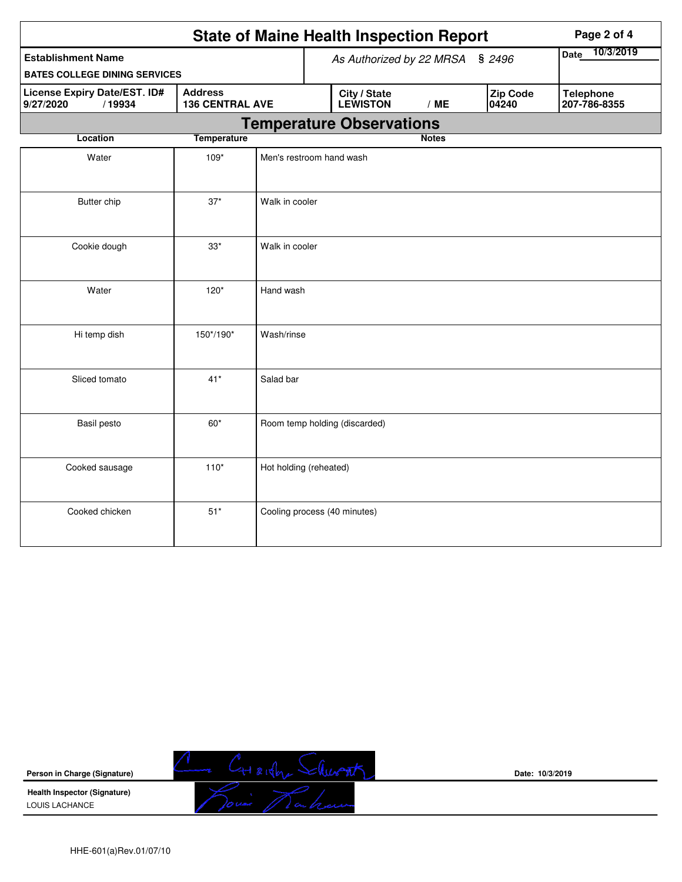|                                                            |                        |                                 | <b>State of Maine Health Inspection Report</b> | Page 2 of 4                      |  |  |  |  |  |
|------------------------------------------------------------|------------------------|---------------------------------|------------------------------------------------|----------------------------------|--|--|--|--|--|
| <b>Establishment Name</b>                                  |                        |                                 | As Authorized by 22 MRSA                       | 10/3/2019<br>Date                |  |  |  |  |  |
| <b>BATES COLLEGE DINING SERVICES</b>                       |                        |                                 | \$2496                                         |                                  |  |  |  |  |  |
| <b>License Expiry Date/EST. ID#</b><br>9/27/2020<br>/19934 | <b>136 CENTRAL AVE</b> | City / State<br><b>LEWISTON</b> | <b>Zip Code</b><br>04240                       | <b>Telephone</b><br>207-786-8355 |  |  |  |  |  |
|                                                            |                        |                                 | <b>Temperature Observations</b>                |                                  |  |  |  |  |  |
| Location                                                   | <b>Temperature</b>     |                                 |                                                | <b>Notes</b>                     |  |  |  |  |  |
| Water                                                      | 109*                   |                                 | Men's restroom hand wash                       |                                  |  |  |  |  |  |
| Butter chip                                                | $37*$                  | Walk in cooler                  |                                                |                                  |  |  |  |  |  |
| Cookie dough                                               | $33^{\star}$           | Walk in cooler                  |                                                |                                  |  |  |  |  |  |
| Water                                                      | $120*$                 | Hand wash                       |                                                |                                  |  |  |  |  |  |
| Hi temp dish                                               | 150*/190*              | Wash/rinse                      |                                                |                                  |  |  |  |  |  |
| Sliced tomato                                              | $41*$                  | Salad bar                       |                                                |                                  |  |  |  |  |  |
| Basil pesto                                                | $60*$                  |                                 | Room temp holding (discarded)                  |                                  |  |  |  |  |  |
| Cooked sausage                                             | $110*$                 |                                 | Hot holding (reheated)                         |                                  |  |  |  |  |  |
| Cooked chicken                                             | $51*$                  |                                 | Cooling process (40 minutes)                   |                                  |  |  |  |  |  |



**Date: 10/3/2019**

**Health Inspector (Signature)**  LOUIS LACHANCE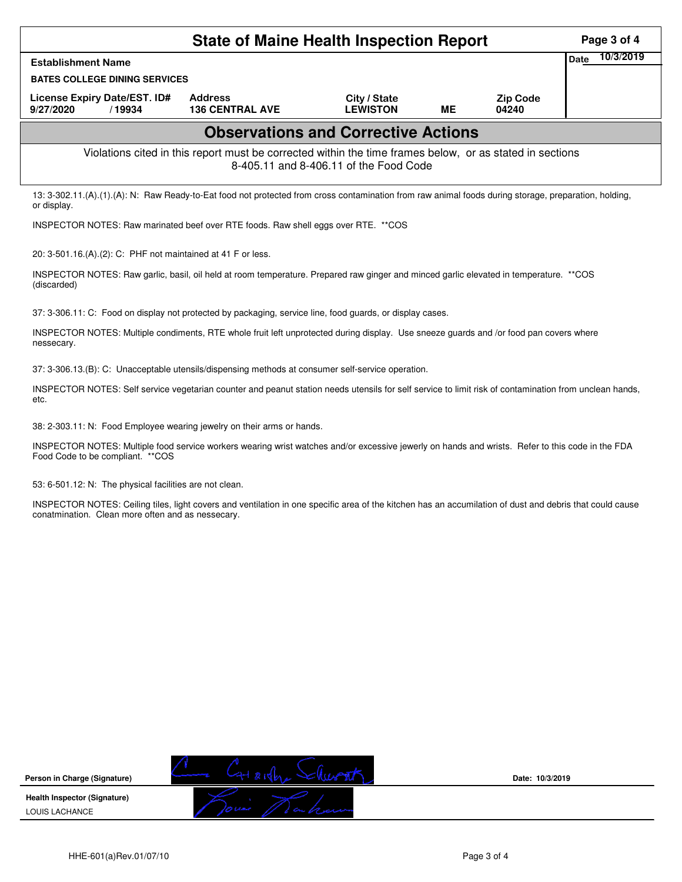|                                                                                                                                                                                                               | <b>State of Maine Health Inspection Report</b>                                                           |                                            |           |                          | Page 3 of 4              |
|---------------------------------------------------------------------------------------------------------------------------------------------------------------------------------------------------------------|----------------------------------------------------------------------------------------------------------|--------------------------------------------|-----------|--------------------------|--------------------------|
| <b>Establishment Name</b>                                                                                                                                                                                     |                                                                                                          |                                            |           |                          | 10/3/2019<br><b>Date</b> |
| <b>BATES COLLEGE DINING SERVICES</b>                                                                                                                                                                          |                                                                                                          |                                            |           |                          |                          |
| License Expiry Date/EST. ID#<br>9/27/2020<br>/19934                                                                                                                                                           | <b>Address</b><br><b>136 CENTRAL AVE</b>                                                                 | City / State<br><b>LEWISTON</b>            | <b>ME</b> | <b>Zip Code</b><br>04240 |                          |
|                                                                                                                                                                                                               |                                                                                                          | <b>Observations and Corrective Actions</b> |           |                          |                          |
|                                                                                                                                                                                                               | Violations cited in this report must be corrected within the time frames below, or as stated in sections | 8-405.11 and 8-406.11 of the Food Code     |           |                          |                          |
| 13: 3-302.11.(A).(1).(A): N: Raw Ready-to-Eat food not protected from cross contamination from raw animal foods during storage, preparation, holding,<br>or display.                                          |                                                                                                          |                                            |           |                          |                          |
| INSPECTOR NOTES: Raw marinated beef over RTE foods. Raw shell eggs over RTE. ** COS                                                                                                                           |                                                                                                          |                                            |           |                          |                          |
| 20: 3-501.16.(A).(2): C: PHF not maintained at 41 F or less.                                                                                                                                                  |                                                                                                          |                                            |           |                          |                          |
| INSPECTOR NOTES: Raw garlic, basil, oil held at room temperature. Prepared raw ginger and minced garlic elevated in temperature. **COS<br>(discarded)                                                         |                                                                                                          |                                            |           |                          |                          |
| 37: 3-306.11: C: Food on display not protected by packaging, service line, food guards, or display cases.                                                                                                     |                                                                                                          |                                            |           |                          |                          |
| INSPECTOR NOTES: Multiple condiments, RTE whole fruit left unprotected during display. Use sneeze guards and /or food pan covers where<br>nessecary.                                                          |                                                                                                          |                                            |           |                          |                          |
| 37: 3-306.13.(B): C: Unacceptable utensils/dispensing methods at consumer self-service operation.                                                                                                             |                                                                                                          |                                            |           |                          |                          |
| INSPECTOR NOTES: Self service vegetarian counter and peanut station needs utensils for self service to limit risk of contamination from unclean hands,<br>etc.                                                |                                                                                                          |                                            |           |                          |                          |
| 38: 2-303.11: N: Food Employee wearing jewelry on their arms or hands.                                                                                                                                        |                                                                                                          |                                            |           |                          |                          |
| INSPECTOR NOTES: Multiple food service workers wearing wrist watches and/or excessive jewerly on hands and wrists. Refer to this code in the FDA<br>Food Code to be compliant. ** COS                         |                                                                                                          |                                            |           |                          |                          |
| 53: 6-501.12: N: The physical facilities are not clean.                                                                                                                                                       |                                                                                                          |                                            |           |                          |                          |
| INSPECTOR NOTES: Ceiling tiles, light covers and ventilation in one specific area of the kitchen has an accumilation of dust and debris that could cause<br>conatmination. Clean more often and as nessecary. |                                                                                                          |                                            |           |                          |                          |
|                                                                                                                                                                                                               |                                                                                                          |                                            |           |                          |                          |
|                                                                                                                                                                                                               |                                                                                                          |                                            |           |                          |                          |
|                                                                                                                                                                                                               |                                                                                                          |                                            |           |                          |                          |
|                                                                                                                                                                                                               |                                                                                                          |                                            |           |                          |                          |
|                                                                                                                                                                                                               |                                                                                                          |                                            |           |                          |                          |
|                                                                                                                                                                                                               |                                                                                                          |                                            |           |                          |                          |



**Date: 10/3/2019**

HHE-601(a)Rev.01/07/10 Page 3 of 4